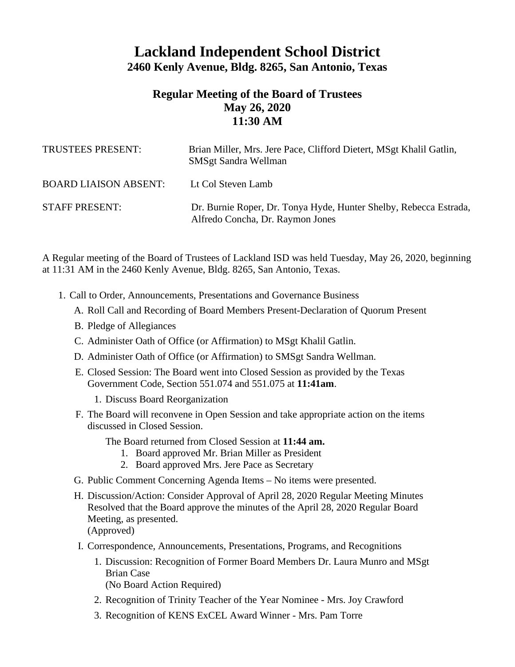## **Lackland Independent School District 2460 Kenly Avenue, Bldg. 8265, San Antonio, Texas**

## **Regular Meeting of the Board of Trustees May 26, 2020 11:30 AM**

| TRUSTEES PRESENT:            | Brian Miller, Mrs. Jere Pace, Clifford Dietert, MSgt Khalil Gatlin,<br><b>SMSgt Sandra Wellman</b>    |
|------------------------------|-------------------------------------------------------------------------------------------------------|
| <b>BOARD LIAISON ABSENT:</b> | Lt Col Steven Lamb                                                                                    |
| <b>STAFF PRESENT:</b>        | Dr. Burnie Roper, Dr. Tonya Hyde, Hunter Shelby, Rebecca Estrada,<br>Alfredo Concha, Dr. Raymon Jones |

A Regular meeting of the Board of Trustees of Lackland ISD was held Tuesday, May 26, 2020, beginning at 11:31 AM in the 2460 Kenly Avenue, Bldg. 8265, San Antonio, Texas.

- 1. Call to Order, Announcements, Presentations and Governance Business
	- A. Roll Call and Recording of Board Members Present-Declaration of Quorum Present
	- B. Pledge of Allegiances
	- C. Administer Oath of Office (or Affirmation) to MSgt Khalil Gatlin.
	- D. Administer Oath of Office (or Affirmation) to SMSgt Sandra Wellman.
	- E. Closed Session: The Board went into Closed Session as provided by the Texas Government Code, Section 551.074 and 551.075 at **11:41am**.
		- 1. Discuss Board Reorganization
	- F. The Board will reconvene in Open Session and take appropriate action on the items discussed in Closed Session.

The Board returned from Closed Session at **11:44 am.**

- 1. Board approved Mr. Brian Miller as President
- 2. Board approved Mrs. Jere Pace as Secretary
- G. Public Comment Concerning Agenda Items No items were presented.
- H. Discussion/Action: Consider Approval of April 28, 2020 Regular Meeting Minutes Resolved that the Board approve the minutes of the April 28, 2020 Regular Board Meeting, as presented. (Approved)
- I. Correspondence, Announcements, Presentations, Programs, and Recognitions
	- 1. Discussion: Recognition of Former Board Members Dr. Laura Munro and MSgt Brian Case

(No Board Action Required)

- 2. Recognition of Trinity Teacher of the Year Nominee Mrs. Joy Crawford
- 3. Recognition of KENS ExCEL Award Winner Mrs. Pam Torre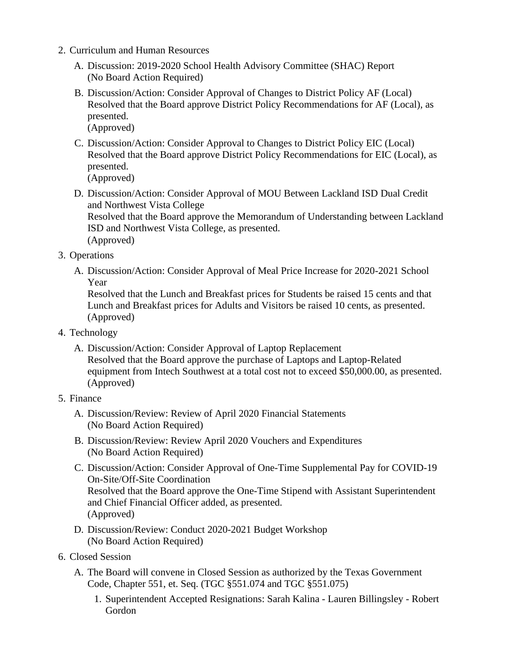- 2. Curriculum and Human Resources
	- A. Discussion: 2019-2020 School Health Advisory Committee (SHAC) Report (No Board Action Required)
	- B. Discussion/Action: Consider Approval of Changes to District Policy AF (Local) Resolved that the Board approve District Policy Recommendations for AF (Local), as presented.

(Approved)

C. Discussion/Action: Consider Approval to Changes to District Policy EIC (Local) Resolved that the Board approve District Policy Recommendations for EIC (Local), as presented.

(Approved)

D. Discussion/Action: Consider Approval of MOU Between Lackland ISD Dual Credit and Northwest Vista College Resolved that the Board approve the Memorandum of Understanding between Lackland ISD and Northwest Vista College, as presented.

(Approved)

- 3. Operations
	- A. Discussion/Action: Consider Approval of Meal Price Increase for 2020-2021 School Year

Resolved that the Lunch and Breakfast prices for Students be raised 15 cents and that Lunch and Breakfast prices for Adults and Visitors be raised 10 cents, as presented. (Approved)

- 4. Technology
	- A. Discussion/Action: Consider Approval of Laptop Replacement Resolved that the Board approve the purchase of Laptops and Laptop-Related equipment from Intech Southwest at a total cost not to exceed \$50,000.00, as presented. (Approved)
- 5. Finance
	- A. Discussion/Review: Review of April 2020 Financial Statements (No Board Action Required)
	- B. Discussion/Review: Review April 2020 Vouchers and Expenditures (No Board Action Required)
	- C. Discussion/Action: Consider Approval of One-Time Supplemental Pay for COVID-19 On-Site/Off-Site Coordination Resolved that the Board approve the One-Time Stipend with Assistant Superintendent and Chief Financial Officer added, as presented. (Approved)
	- D. Discussion/Review: Conduct 2020-2021 Budget Workshop (No Board Action Required)
- 6. Closed Session
	- A. The Board will convene in Closed Session as authorized by the Texas Government Code, Chapter 551, et. Seq. (TGC §551.074 and TGC §551.075)
		- 1. Superintendent Accepted Resignations: Sarah Kalina Lauren Billingsley Robert Gordon